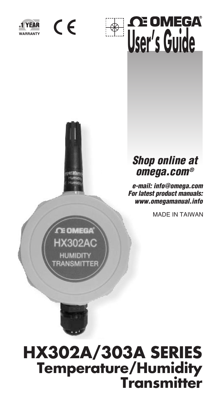

 $\epsilon$ 





### *Shop online at omega.com®*

 *e-mail: info@omega.com For latest product manuals: www.omegamanual.info*

MADE IN TAIWAN



# **HX302A/303A SERIES Temperature/Humidity Transmitter**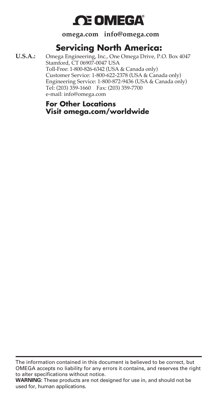# **OE OMEGA®**

**omega.com info@omega.com**

### **Servicing North America:**

**U.S.A.:** Omega Engineering, Inc., One Omega Drive, P.O. Box 4047 Stamford, CT 06907-0047 USA Toll-Free: 1-800-826-6342 (USA & Canada only) Customer Service: 1-800-622-2378 (USA & Canada only) Engineering Service: 1-800-872-9436 (USA & Canada only) Tel: (203) 359-1660 Fax: (203) 359-7700 e-mail: info@omega.com

> **For Other Locations Visit omega.com/worldwide**

The information contained in this document is believed to be correct, but OMEGA accepts no liability for any errors it contains, and reserves the right to alter specifications without notice.

**WARNING:** These products are not designed for use in, and should not be used for, human applications.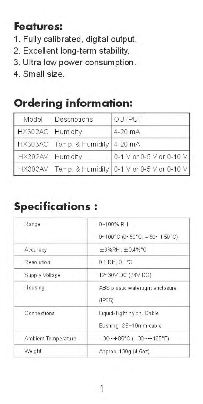### **Features:**

- 1. Fully calibrated, digital output.
- 2. Excellent long-term stability.
- 3. Ultra low power consumption.
- 4. Small size.

# **Ordering information:**

| Model            | Descriptions                     | OUTPUT                                            |
|------------------|----------------------------------|---------------------------------------------------|
| HX302AC Humidity |                                  | 4-20 mA                                           |
|                  | HX303AC Temp. & Humidity 4-20 mA |                                                   |
| HX302AV Humidity |                                  | 0-1 V or 0-5 V or 0-10 V                          |
|                  |                                  | HX303AV Temp. & Humidity 0-1 V or 0-5 V or 0-10 V |

# **Specifications:**

| Range               | 0~100% RH                                           |
|---------------------|-----------------------------------------------------|
|                     | 0~100°C (0~50°C, -50~+50°C)                         |
| Accuracy            | ±3%RH, ±0.4% ℃                                      |
| Resolution          | 0.1 RH, 0.1°C                                       |
| Supply Voltage      | 12~30V DC (24V DC)                                  |
| Housing             | ABS plastic watertight enclosure<br>(IF65)          |
| <b>Connections</b>  | Liquid-Tight nylon, Cable<br>Bushing: Ø5~10mm cable |
| Ambient Temperature | $-30 - +85^{\circ}$ C ( $-30 - +185^{\circ}$ F)     |
| Weight              | Approx, 130g (4.5oz)                                |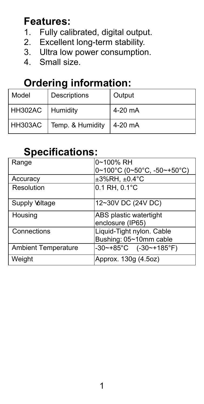### **Features:**

- 1. Fully calibrated, digital output.<br>2. Excellent long-term stability.
- Excellent long-term stability.
- 3. Ultra low power consumption.
- 4. Small size.

# **Ordering information:**

| Model            | Descriptions     | Output  |
|------------------|------------------|---------|
| HH302AC Humidity |                  | 4-20 mA |
| HH303AC          | Temp. & Humidity | 4-20 mA |

### **Specifications:**

| Range                      | 0~100% RH                                                   |  |
|----------------------------|-------------------------------------------------------------|--|
|                            | $0~100^{\circ}$ C (0~50 $^{\circ}$ C, -50~+50 $^{\circ}$ C) |  |
| Accuracy                   | $\pm 3\%$ RH, $\pm 0.4$ °C                                  |  |
| Resolution                 | $0.1$ RH, $0.1^{\circ}$ C                                   |  |
|                            |                                                             |  |
| Supply Voltage             | 12~30V DC (24V DC)                                          |  |
| Housing                    | ABS plastic watertight                                      |  |
|                            | enclosure (IP65)                                            |  |
| Connections                | Liquid-Tight nylon. Cable                                   |  |
|                            | Bushing: 05~10mm cable                                      |  |
| <b>Ambient Temperature</b> | $-30$ ~+85°C (-30~+185°F)                                   |  |
| Weight                     | Approx. 130g (4.5oz)                                        |  |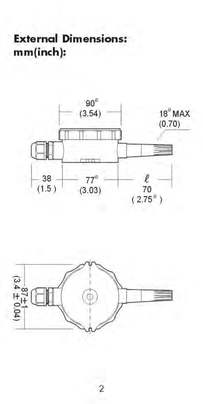# **External Dimensions:** mm(inch):



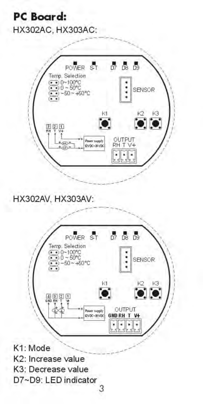### **PC** Board: HX302AC, HX303AC:



HX302AV, HX303AV:

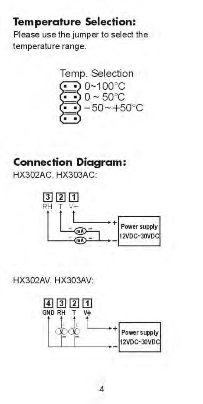### **Temperature Selection:**

Please use the jumper to select the temperature range.

Temp. Selection  $0 - 100^{\circ}$ C  $0 \sim 50^{\circ}$ C  $-50 - +50^{\circ}C$ 

# **Connection Diagram:**

HX302AC. HX303AC:



HX302AV, HX303AV:

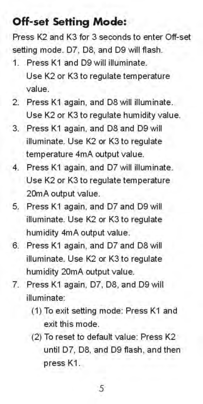### **Off-set Setting Mode:**

Press K2 and K3 for 3 seconds to enter Off-set setting mode. D7, D8, and D9 will flash.

- 1 Press K1 and D9 will illuminate Use K2 or K3 to regulate temperature value.
- 2. Press K1 again, and D8 will illuminate. Use K2 or K3 to regulate humidity value.
- Press K1 again, and D8 and D9 will  $3^{\circ}$ illuminate. Use K2 or K3 to regulate temperature 4mA output value.
- $4.$ Press K1 again, and D7 will illuminate. Use K2 or K3 to regulate temperature 20mA output value.
- 5. Press K1 again, and D7 and D9 will illuminate. Use K2 or K3 to regulate humidity 4mA output value.
- $6^{\circ}$ Press K1 again, and D7 and D8 will illuminate. Use K2 or K3 to regulate humidity 20mA output value.
- $7.$ Press K1 again, D7, D8, and D9 will illuminate:
	- (1) To exit setting mode: Press K1 and exit this mode.
	- (2) To reset to default value: Press K2 until D7, D8, and D9 flash, and then press K1.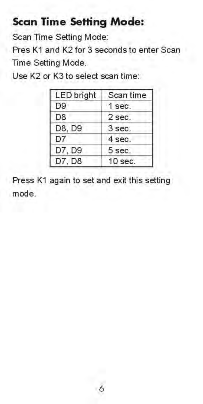### **Scan Time Setting Mode:**

Scan Time Setting Mode:

Pres K1 and K2 for 3 seconds to enter Scan Time Setting Mode.

Use K2 or K3 to select scan time:

| <b>LED</b> bright | Scan time |
|-------------------|-----------|
| D <sub>9</sub>    | 1 sec.    |
| D <sub>8</sub>    | 2 sec.    |
| D8, D9            | 3 sec.    |
| D7                | 4 sec.    |
| D7, D9            | 5 sec.    |
| D7, D8            | $10$ sec. |

Press K1 again to set and exit this setting mode.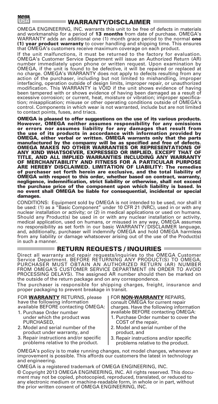

#### WARRANTY/DISCLAIMER

OMEGA ENGINEERING, INC. warrants this unit to be free of defects in materials and workmanship for a period of 13 months from date of purchase. OMEGA's WARRANTY adds an additional one (1) month grace period to the normal one (1) year product warranty to cover handling and shipping time. This ensures that OMEGA's customers receive maximum coverage on each product.

If the unit malfunctions, it must be returned to the factory for evaluation. OMEGA's Customer Service Department will issue an Authorized Return (AR) number immediately upon phone or written request. Upon examination by OMEGA, if the unit is found to be defective, it will be repaired or replaced at no charge. OMEGA's WARRANTY does not apply to defects resulting from any action of the purchaser, including but not limited to mishandling, improper interfacing, operation outside of design limits, improper repair, or unauthorized modification. This WARRANTY is VOID if the unit shows evidence of having been tampered with or shows evidence of having been damaged as a result of excessive corrosion; or current, heat, moisture or vibration; improper specification; misapplication; misuse or other operating conditions outside of OMEGA's control. Components in which wear is not warranted, include but are not limited to contact points, fuses, and triacs.

OMEGA is pleased to offer suggestions on the use of its various products. However, OMEGA neither assumes responsibility for any omissions or errors nor assumes liability for any damages that result from the use of its products in accordance with information provided by OMEGA, either verbal or written. OMEGA warrants only that the parts<br>manufactured by the compamy will be as specified and free of defects.<br>OMEGA MAKES NO OTHER WARRANTIES OR REPRESENTATIONS OF<br>ANY KIND WHATSOEVER, EXPRESSED TITLE, AND ALL IMPLIED WARRANTIES INCLUDING ANY WARRANTY OF MERCHANTABILITY AND FITNESS FOR A PARTICULAR PURPOSE ARE HEREBY DISCLAIMED. LIMITATION OF LIABILITY: The remedies of purchaser set forth herein are exclusive, and the total liability of OMEGA with respect to this order, whether based on contract, warranty, negligence, indemnification, strict liability or otherwise, shall not exceed the purchase price of the component upon which liability is based. In no event shall OMEGA be liable for consequential, incidental or special damages.

CONDITIONS: Equipment sold by OMEGA is not intended to be used, nor shall it<br>be used: (1) as a "Basic Component" under 10 CFR 21 (NRC), used in or with any<br>nuclear installation or activity; or (2) in medical applications o Should any Product(s) be used in or with any nuclear installation or activity, medical application, used on humans, or misused in any way, OMEGA assumes no responsibility as set forth in our basic WARRANTY / DISCLAIMER language, and, additionally, purchaser will indemnify OMEGA and hold OMEGA harmless from any liability or damage whatsoever arising out of the use of the Product(s) in such a manner.

#### $\blacksquare$  RETURN REQUESTS / INQUIRIES  $\blacksquare$

Direct all warranty and repair requests/inquiries to the OMEGA Customer Service Department. BEFORE RETURNING ANY PRODUCT(S) TO OMEGA, PURCHASER MUST OBTAIN AN AUTHORIZED RETURN (AR) NUMBER FROM OMEGA'S CUSTOMER SERVICE DEPARTMENT (IN ORDER TO AVOID PROCESSING DELAYS). The assigned AR number should then be marked on the outside of the return package and on any correspondence.

The purchaser is responsible for shipping charges, freight, insurance and proper packaging to prevent breakage in transit.

FOR **WARRANTY** RETURNS, please have the following information available BEFORE contacting OMEGA: 1. Purchase Order number

- under which the product was PURCHASED,
- 2. Model and serial number of the product under warranty, and
- 3. Repair instructions and/or specific problems relative to the product.

FOR **NON-WARRANTY** REPAIRS, consult OMEGA for current repair charges. Have the following information available BEFORE contacting OMEGA:

- 1. Purchase Order number to cover the COST of the repair,
- 2. Model and serial number of the product, and
- 3. Repair instructions and/or specific problems relative to the product.

OMEGA's policy is to make running changes, not model changes, whenever an improvement is possible. This affords our customers the latest in technology and engineering.

OMEGA is a registered trademark of OMEGA ENGINEERING, INC. © Copyright 2013 OMEGA ENGINEERING, INC. All rights reserved. This document may not be copied, photocopied, reproduced, translated, or reduced to any electronic medium or machine-readable form, in whole or in part, without the prior written consent of OMEGA ENGINEERING, INC.